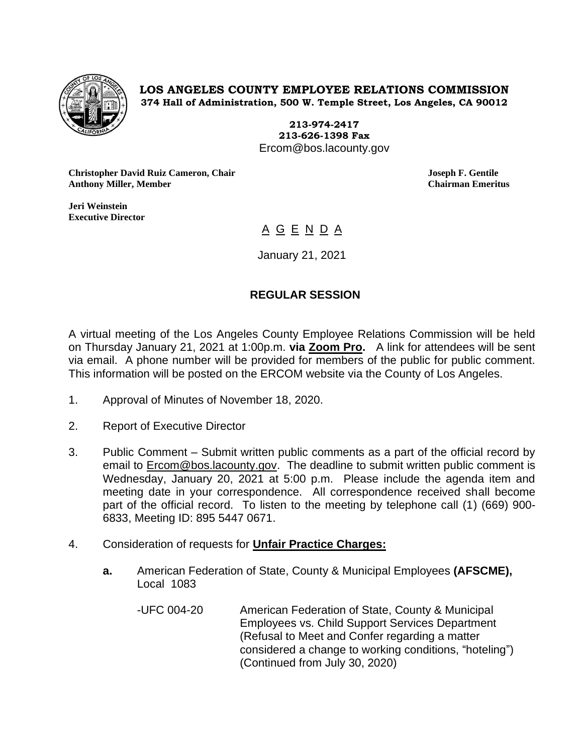

**LOS ANGELES COUNTY EMPLOYEE RELATIONS COMMISSION 374 Hall of Administration, 500 W. Temple Street, Los Angeles, CA 90012**

> **213-974-2417 213-626-1398 Fax** Ercom@bos.lacounty.gov

**Christopher David Ruiz Cameron, Chair Joseph F. Gentile Anthony Miller, Member Chairman Emeritus**

**Jeri Weinstein Executive Director** 

A G E N D A

January 21, 2021

## **REGULAR SESSION**

A virtual meeting of the Los Angeles County Employee Relations Commission will be held on Thursday January 21, 2021 at 1:00p.m. **via Zoom Pro.** A link for attendees will be sent via email. A phone number will be provided for members of the public for public comment. This information will be posted on the ERCOM website via the County of Los Angeles.

- 1. Approval of Minutes of November 18, 2020.
- 2. Report of Executive Director
- 3. Public Comment Submit written public comments as a part of the official record by email to **Ercom@bos.lacounty.gov.** The deadline to submit written public comment is Wednesday, January 20, 2021 at 5:00 p.m. Please include the agenda item and meeting date in your correspondence. All correspondence received shall become part of the official record. To listen to the meeting by telephone call (1) (669) 900- 6833, Meeting ID: 895 5447 0671.
- 4. Consideration of requests for **Unfair Practice Charges:**
	- **a.** American Federation of State, County & Municipal Employees **(AFSCME),**  Local 1083
		- -UFC 004-20 American Federation of State, County & Municipal Employees vs. Child Support Services Department (Refusal to Meet and Confer regarding a matter considered a change to working conditions, "hoteling") (Continued from July 30, 2020)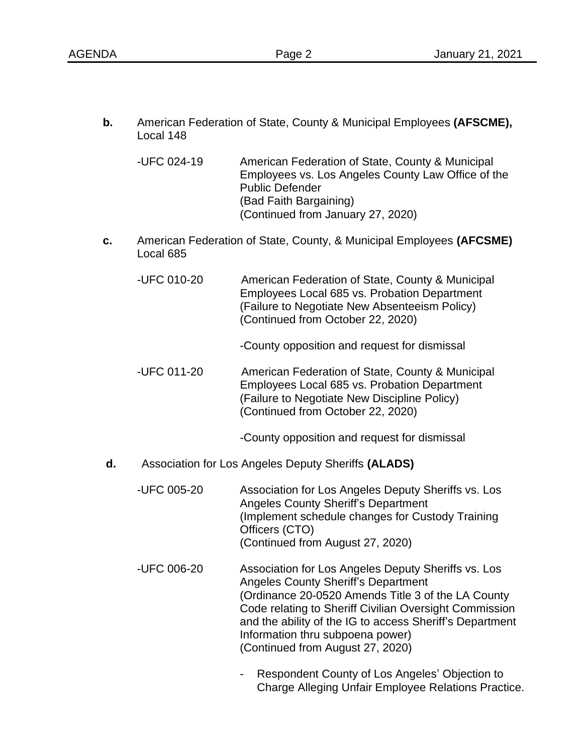**b.** American Federation of State, County & Municipal Employees **(AFSCME),** Local 148

-UFC 024-19 American Federation of State, County & Municipal Employees vs. Los Angeles County Law Office of the Public Defender (Bad Faith Bargaining) (Continued from January 27, 2020)

- **c.** American Federation of State, County, & Municipal Employees **(AFCSME)** Local 685
	- -UFC 010-20 American Federation of State, County & Municipal Employees Local 685 vs. Probation Department (Failure to Negotiate New Absenteeism Policy) (Continued from October 22, 2020)
		- -County opposition and request for dismissal
	- -UFC 011-20 American Federation of State, County & Municipal Employees Local 685 vs. Probation Department (Failure to Negotiate New Discipline Policy) (Continued from October 22, 2020)

-County opposition and request for dismissal

- **d.** Association for Los Angeles Deputy Sheriffs **(ALADS)**
	- -UFC 005-20 Association for Los Angeles Deputy Sheriffs vs. Los Angeles County Sheriff's Department (Implement schedule changes for Custody Training Officers (CTO) (Continued from August 27, 2020)
	- -UFC 006-20 Association for Los Angeles Deputy Sheriffs vs. Los Angeles County Sheriff's Department (Ordinance 20-0520 Amends Title 3 of the LA County Code relating to Sheriff Civilian Oversight Commission and the ability of the IG to access Sheriff's Department Information thru subpoena power) (Continued from August 27, 2020)
		- Respondent County of Los Angeles' Objection to Charge Alleging Unfair Employee Relations Practice.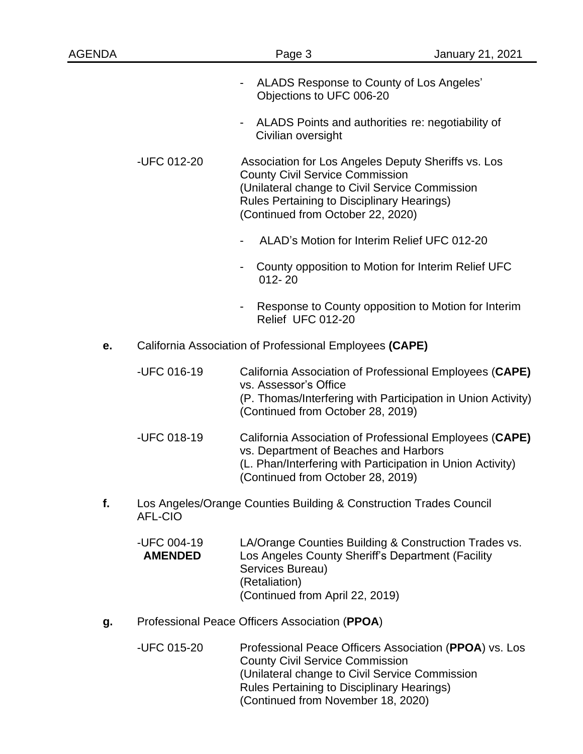| <b>AGENDA</b> |                                                         | Page 3                                                                                                                                                                                                                                    | January 21, 2021                                                                                                        |  |
|---------------|---------------------------------------------------------|-------------------------------------------------------------------------------------------------------------------------------------------------------------------------------------------------------------------------------------------|-------------------------------------------------------------------------------------------------------------------------|--|
|               |                                                         | ALADS Response to County of Los Angeles'<br>$\overline{\phantom{a}}$<br>Objections to UFC 006-20                                                                                                                                          |                                                                                                                         |  |
|               |                                                         | ALADS Points and authorities re: negotiability of<br>$\blacksquare$<br>Civilian oversight                                                                                                                                                 |                                                                                                                         |  |
|               | -UFC 012-20                                             | Association for Los Angeles Deputy Sheriffs vs. Los<br><b>County Civil Service Commission</b><br>(Unilateral change to Civil Service Commission<br><b>Rules Pertaining to Disciplinary Hearings)</b><br>(Continued from October 22, 2020) |                                                                                                                         |  |
|               |                                                         | ALAD's Motion for Interim Relief UFC 012-20                                                                                                                                                                                               |                                                                                                                         |  |
|               |                                                         | $012 - 20$                                                                                                                                                                                                                                | County opposition to Motion for Interim Relief UFC                                                                      |  |
|               |                                                         | -<br>Relief UFC 012-20                                                                                                                                                                                                                    | Response to County opposition to Motion for Interim                                                                     |  |
| e.            | California Association of Professional Employees (CAPE) |                                                                                                                                                                                                                                           |                                                                                                                         |  |
|               | -UFC 016-19                                             | vs. Assessor's Office<br>(Continued from October 28, 2019)                                                                                                                                                                                | California Association of Professional Employees (CAPE)<br>(P. Thomas/Interfering with Participation in Union Activity) |  |
|               | -UFC 018-19                                             | vs. Department of Beaches and Harbors<br>(L. Phan/Interfering with Participation in Union Activity)<br>(Continued from October 28, 2019)                                                                                                  | California Association of Professional Employees (CAPE)                                                                 |  |
| f.            | <b>AFL-CIO</b>                                          | Los Angeles/Orange Counties Building & Construction Trades Council                                                                                                                                                                        |                                                                                                                         |  |
|               | -UFC 004-19<br><b>AMENDED</b>                           | Los Angeles County Sheriff's Department (Facility<br>Services Bureau)<br>(Retaliation)<br>(Continued from April 22, 2019)                                                                                                                 | LA/Orange Counties Building & Construction Trades vs.                                                                   |  |
| g.            | Professional Peace Officers Association (PPOA)          |                                                                                                                                                                                                                                           |                                                                                                                         |  |
|               | -UFC 015-20                                             | <b>County Civil Service Commission</b><br>(Unilateral change to Civil Service Commission<br>Rules Pertaining to Disciplinary Hearings)                                                                                                    | Professional Peace Officers Association (PPOA) vs. Los                                                                  |  |

(Continued from November 18, 2020)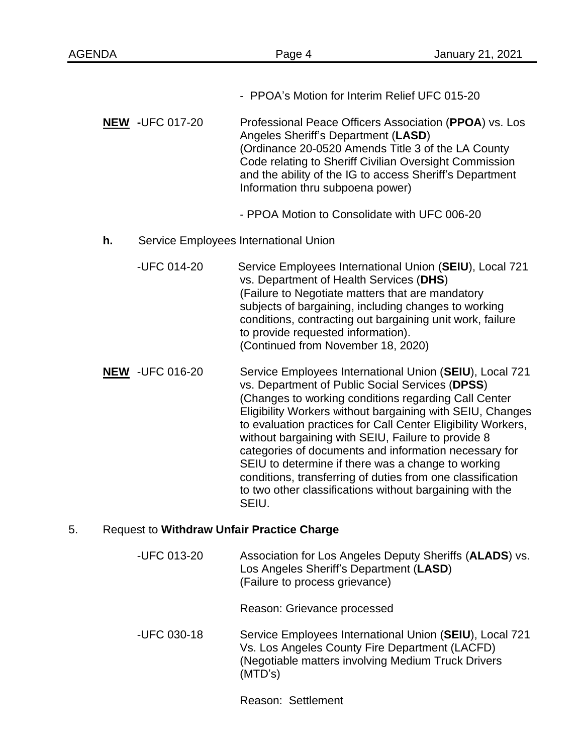- PPOA's Motion for Interim Relief UFC 015-20 **NEW -**UFC 017-20 Professional Peace Officers Association (**PPOA**) vs. Los Angeles Sheriff's Department (**LASD**) (Ordinance 20-0520 Amends Title 3 of the LA County Code relating to Sheriff Civilian Oversight Commission and the ability of the IG to access Sheriff's Department Information thru subpoena power) - PPOA Motion to Consolidate with UFC 006-20 **h.** Service Employees International Union -UFC 014-20 Service Employees International Union (**SEIU**), Local 721 vs. Department of Health Services (**DHS**) (Failure to Negotiate matters that are mandatory subjects of bargaining, including changes to working conditions, contracting out bargaining unit work, failure to provide requested information). (Continued from November 18, 2020) **NEW** -UFC 016-20 Service Employees International Union (**SEIU**), Local 721 vs. Department of Public Social Services (**DPSS**) (Changes to working conditions regarding Call Center Eligibility Workers without bargaining with SEIU, Changes to evaluation practices for Call Center Eligibility Workers, without bargaining with SEIU, Failure to provide 8 categories of documents and information necessary for SEIU to determine if there was a change to working conditions, transferring of duties from one classification to two other classifications without bargaining with the SEIU. 5. Request to **Withdraw Unfair Practice Charge** -UFC 013-20 Association for Los Angeles Deputy Sheriffs (**ALADS**) vs. Los Angeles Sheriff's Department (**LASD**) (Failure to process grievance)

Reason: Grievance processed

-UFC 030-18 Service Employees International Union (**SEIU**), Local 721 Vs. Los Angeles County Fire Department (LACFD) (Negotiable matters involving Medium Truck Drivers (MTD's)

Reason: Settlement